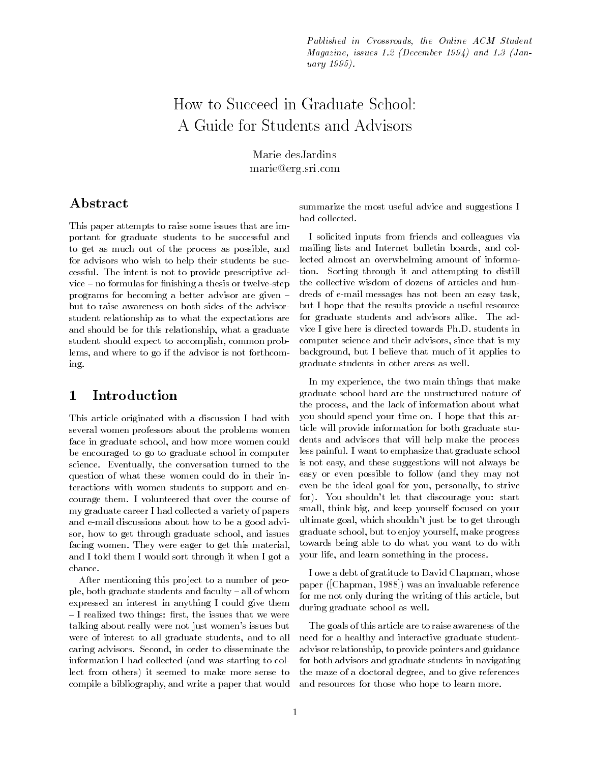Published in Crossroads- the Online ACM Student magazine-bergine-bergine-bergine-bergine-bergine-bergine-bergine-bergine-bergine-bergine-bergine-bergine-bergi uary 1995).

# How to Succeed in Graduate School-A Guide for Students and Advisors

Marie desJardinsmarie-ergsricom

## **A** bstract

This paper attempts to raise some issues that are important for graduate students to be successful and to get as much out of the process as possible, and for advisors who wish to help their students be successful. The intent is not to provide prescriptive advice or twelve-twelve-twelve-twelve-twelve-twelve-twelve-twelve-twelve-twelve-twelve-twelve-twelve-twelve-twelv programs for becoming a better advisor are given but to raise awareness on both sides of the advisorstudent relationship as to what the expectations are and should be for this relationship, what a graduate student should expect to accomplish, common problems, and where to go if the advisor is not forthcoming

### $\mathbf{1}$

This article originated with a discussion I had with several women professors about the problems women face in graduate school, and how more women could be encouraged to go to graduate school in computer science. Eventually, the conversation turned to the question of what these women could do in their interactions with women students to support and encourage them I volunteered that over the course of my graduate career I had collected a variety of papers and e-mail discussions about how to be a good advisor, how to get through graduate school, and issues facing women. They were eager to get this material, and I told them I would sort through it when I got a chance

After mentioning this project to a number of people, both graduate students and faculty  $-$  all of whom expressed an interest in anything I could give them  $-I$  realized two things: first, the issues that we were talking about really were not just women's issues but were of interest to all graduate students, and to all caring advisors. Second, in order to disseminate the information I had collected (and was starting to collect from others it seemed to make more sense to compile a bibliography, and write a paper that would

summarize the most useful advice and suggestions I had collected

 $\Omega$ but I hope that the results provide a useful resource a useful resource a useful resource and the second resource of I solicited inputs from friends and colleagues via mailing lists and Internet bulletin boards, and coltion. Sorting through it and attempting to distill the collective wisdom of dozens of articles and hundreds of e-mail messages has not been an easy task for graduate students and advisors alike. The advice I give here is directed towards Ph.D. students in computer science and their advisors, since that is my background, but I believe that much of it applies to graduate students in other areas as well

In my experience, the two main things that make graduate school hard are the unstructured nature of the process, and the lack of information about what you should spend your time on I hope that this article will provide information for both graduate students and advisors that will help make the process less painful. I want to emphasize that graduate school is not easy and these suggestions will not always be easy or even possible to follow (and they may not even be the ideal goal for you, personally, to strive for You shouldnt let that discourage you start small, think big, and keep yourself focused on your ultimate goal, which shouldn't just be to get through graduate school but to enjoy yourself make progress towards being able to do what you want to do with your life, and learn something in the process.

paper ([Chapman, 1988]) was an invaluable reference I owe a debt of gratitude to David Chapman, whose for me not only during the writing of this article, but during graduate school as well

 for both advisors and graduate students in navigating The goals of this article are to raise awareness of the need for a healthy and interactive graduate studentadvisor relationship, to provide pointers and guidance the maze of a doctoral degree, and to give references and resources for those who hope to learn more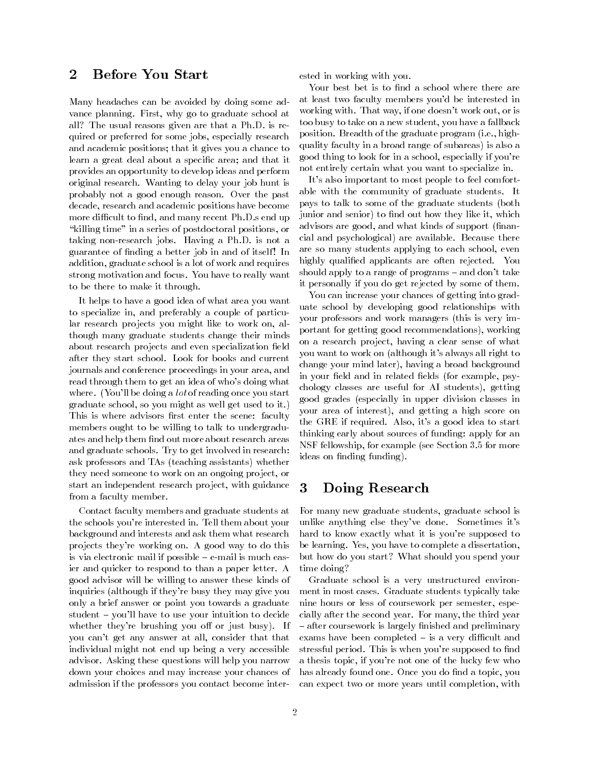## 2 Before You Start

Many headaches can be avoided by doing some advance planning. First, why go to graduate school at all? The usual reasons given are that a Ph.D. is required or preferred for some jobs, especially research and academic positions; that it gives you a chance to learn a great deal about a specific area; and that it provides an opportunity to develop ideas and perform original research Wanting to delay your job hunt is probably not a good enough reason. Over the past decade, research and academic positions have become more difficult to find, and many recent Ph.D.s end up "killing time" in a series of postdoctoral positions, or taking non-research jobs Having a PhD is not a guarantee of finding a better job in and of itself! In addition graduate school is a lot of work and requires strong motivation and focus. You have to really want to be there to make it through

It helps to have a good idea of what area you want to specialize in, and preferably a couple of particular research projects you might like to work on, although many graduate students change their minds about research projects and even specialization field after they start school. Look for books and current journals and conference proceedings in your area, and read through them to get an idea of who's doing what where. (You'll be doing a *lot* of reading once you start graduate school, so you might as well get used to it.) This is where advisors first enter the scene: faculty members ought to be willing to talk to undergraduates and help them find out more about research areas and graduate schools. Try to get involved in research: ask professors and TAS  $\sim$  TAS  $\sim$  TAS  $\sim$  TAS  $\sim$  TAS  $\sim$  TAS  $\sim$  TAS  $\sim$  TAS  $\sim$  TAS  $\sim$  TAS  $\sim$  TAS  $\sim$  TAS  $\sim$  TAS  $\sim$  TAS  $\sim$  TAS  $\sim$  TAS  $\sim$  TAS  $\sim$  TAS  $\sim$  TAS  $\sim$  TAS  $\sim$  TAS  $\sim$  TAS  $\sim$  TAS they need someone to work on an ongoing project, or start an independent research project, with guidance  $\,3\,$ from a faculty member

Contact faculty members and graduate students at the schools you're interested in. Tell them about your background and interests and ask them what research projects they're working on. A good way to do this is via electronic mail if possible e-mail is much easier and quicker to respond to than a paper letter. A good advisor will be willing to answer these kinds of inquiries (although if they're busy they may give you only a brief answer or point you towards a graduate student  $-$  you'll have to use your intuition to decide whether they are brushing you are as just busy you are you can't get any answer at all, consider that that individual might not end up being a very accessible advisor Asking these questions will help you narrow down your choices and may increase your chances of admission if the professors you contact become inter-

ested in working with you

Your best bet is to find a school where there are at least two faculty members you'd be interested in working with. That way, if one doesn't work out, or is too busy to take on a new student, you have a fallback position. Breadth of the graduate program (i.e., highquality in a broad range of subareas is also a broad range of subareas is also a broad range of subareas is also a broad range of  $\sim$ good thing to look for in a school, especially if you're not entirely certain what you want to specialize in

It's also important to most people to feel comfortable with the community of graduate students. It pays to talk to some of the graduate students (both junior and senior and senior and senior and senior  $\mathcal{U}$ advisors are good, and what kinds of support (financial and psychological are available Because there are so many students applying to each school, even highly qualified applicants are often rejected. You should apply to a range of programs  $-$  and don't take it personally if you do get rejected by some of them

your professors and work managers (this is very im portant for getting good recommendations working your area of interest), and getting a high score on thinking early about sources of funding: apply for an You can increase your chances of getting into graduate school by developing good relationships with on a research project, having a clear sense of what you want to work on (although it's always all right to change your mind later many mind later than  $\mathcal{A}$ in your field and in related fields (for example, psychology classes are useful for AI students are useful for AI students are useful for AI students and AI students good grades especially in upper division classes in the GRE if required. Also, it's a good idea to start NSF fellowship, for example (see Section  $3.5$  for more ideas on nding funding

## Doing Research

 but how do you start What should you spend your For many new graduate students graduate school is unlike anything else they've done. Sometimes it's hard to know exactly what it is you're supposed to be learning. Yes, you have to complete a dissertation, time doing

case the called two or more years until completion with  $\sim$ Graduate school is a very unstructured environment in most cases Graduate students typically take nine hours or less of coursework per semester, especially after the second year. For many, the third year - after coursework is largely finished and preliminary exams have been completed  $-$  is a very difficult and stressful period. This is when you're supposed to find a thesis topic, if you're not one of the lucky few who has already found one. Once you do find a topic, you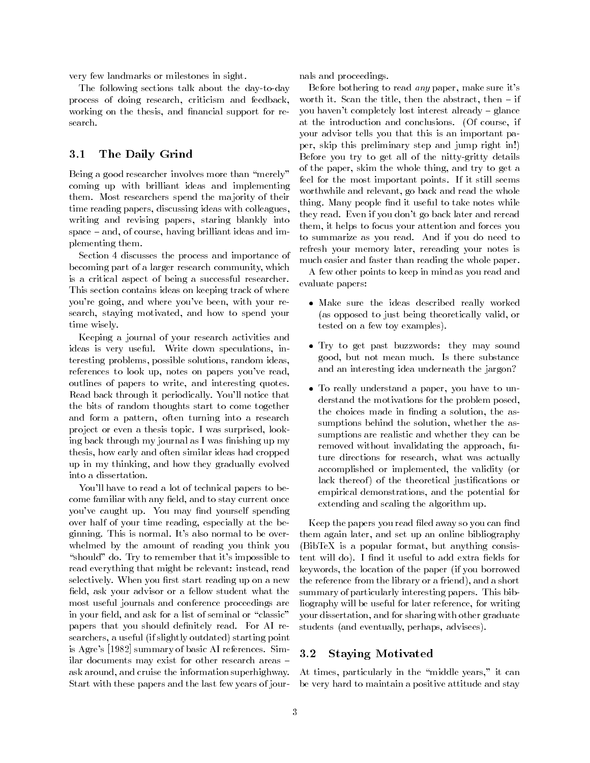very few landmarks or milestones in sight

The following sections talk about the day-to-day process of doing research, criticism and feedback, working on the thesis, and financial support for research

#### 3.1 The Daily Grind

Being a good researcher involves more than "merely" coming up with brilliant ideas and implementing them. Most researchers spend the majority of their time reading papers, discussing ideas with colleagues, writing and revising papers, staring blankly into  $space = and, of course, having brilliant ideas and im$ plementing them

Section 4 discusses the process and importance of becoming part of a larger research community, which is a critical aspect of being a successful researcher This section contains ideas on keeping track of where you're going, and where you've been, with your research, staying motivated, and how to spend your time wisely

Keeping a journal of your research activities and ideas is very useful. Write down speculations, interesting problems, possible solutions, random ideas, references to look up, notes on papers you've read, outlines of papers to write, and interesting quotes. Read back through it periodically. You'll notice that the bits of random thoughts start to come together and form a pattern, often turning into a research project or even a thesis topic. I was surprised, looking back through my journal as I was finishing up my thesis how early and often similar ideas had cropped up in my thinking, and how they gradually evolved into a dissertation

You'll have to read a lot of technical papers to become familiar with any field, and to stay current once you've caught up. You may find yourself spending over half of your time reading, especially at the beginning. This is normal. It's also normal to be overwhelmed by the amount of reading you think you "should" do. Try to remember that it's impossible to read everything that might be relevant: instead, read selectively. When you first start reading up on a new field, ask your advisor or a fellow student what the most useful journals and conference proceedings are in your field, and ask for a list of seminal or "classic" papers that you should definitely read. For AI restarting a useful you and going to determine a point of points. is Agre's [1982] summary of basic AI references. Similar documents may exist for other research areas ask around, and cruise the information superhighway. Start with these papers and the last few years of jour-

nals and proceedings

 you havent completely lost interest already glance to summarize as you read. And if you do need to Before bothering to read *any* paper, make sure it's worth it. Scan the title, then the abstract, then  $-$  if at the introduction and conclusions. (Of course, if your advisor tells you that this is an important paper, skip this preliminary step and jump right in!) Before you try to get all of the nitty-gritty details of the paper, skim the whole thing, and try to get a feel for the most important points. If it still seems worthwhile and relevant, go back and read the whole thing. Many people find it useful to take notes while they read. Even if you don't go back later and reread them, it helps to focus your attention and forces you refresh your memory later, rereading your notes is much easier and faster than reading the whole paper

A few other points to keep in mind as you read and evaluate papers

- $\bullet$  Make sure the ideas described really worked  $\hspace{0.1mm}$  as opposed to just being theoretically valid or tested on a few toy examples
- $\bullet$  Iry to get past buzzwords: they may sound good, but not mean much. Is there substance and an interesting idea underneath the jargon
- $\bullet$  10 really understand a paper, you have to understand the motivations for the problem posed the choices made in finding a solution, the assumptions behind the solution, whether the assumptions are realistic and whether they can be removed without invalidating the approach, future directions for research, what was actually accomplished or implemented, the validity (or lack thereof of the theoretical justications or empirical demonstrations, and the potential for extending and scaling the algorithm up

 them again later and set up an online bibliography students (and eventually, perhaps, advisees). Keep the papers you read filed away so you can find  $(BibText is a popular format, but anything consist$ tent will do it useful to add extra elds for additional to add extra elds for additional to add extra elds for keywords, the location of the paper (if you borrowed the reference from the library or a friend and a short summary of particularly interesting papers. This bibliography will be useful for later reference, for writing your dissertation, and for sharing with other graduate

#### 3. Staying Motivated

 be very hard to maintain a positive attitude and stay At times, particularly in the "middle years," it can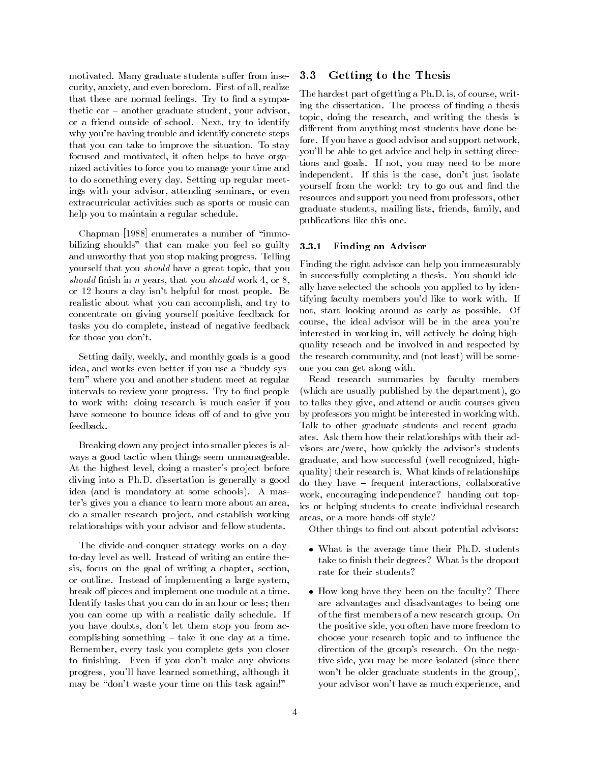motivated. Many graduate students suffer from insecurity, anxiety, and even boredom. First of all, realize that these are normal feelings. Try to find a sympathetic ear  $-$  another graduate student, your advisor, or a friend outside of school. Next, try to identify why you're having trouble and identify concrete steps that you can take to improve the situation. To stay focused and motivated, it often helps to have organized activities to force you to manage your time and to do something every day Setting up regular meetings with your advisor, attending seminars, or even extracurricular activities such as sports or music can help you to maintain a regular schedule

Chapman [1988] enumerates a number of "immobilizing shoulds" that can make you feel so guilty and unworthy that you stop making progress. Telling yourself that you *should* have a great topic, that you should finish in n years, that you should work 4, or  $8$ , or 12 hours a day isn't helpful for most people. Be realistic about what you can accomplish, and try to concentrate on giving yourself positive feedback for tasks you do complete, instead of negative feedback for those you don't.

Setting daily, weekly, and monthly goals is a good idea, and works even better if you use a "buddy system" where you and another student meet at regular intervals to review your progress. Try to find people to work with: doing research is much easier if you have someone to bounce ideas off of and to give you feedback

Breaking down any project into smaller pieces is always a good tactic when things seem unmanageable At the highest level, doing a master's project before diving into a PhD dissertation is generally a good idea and is mandatory at some schools at some schools at some schools at some schools at some schools at some ter's gives you a chance to learn more about an area, do a smaller research project, and establish working relationships with your advisor and fellow students

The divide-and-conquer strategy works on a dayto-day level as well Instead of writing an entire thesis, focus on the goal of writing a chapter, section, or outline. Instead of implementing a large system, break off pieces and implement one module at a time. Identify tasks that you can do in an hour or less; then you can come up with a realistic daily schedule If you have doubts, don't let them stop you from accomplishing something  $-\theta$  take it one day at a time. Remember, every task you complete gets you closer to finishing. Even if you don't make any obvious progress, you'll have learned something, although it may be "don't waste your time on this task again!"

### Getting to the Thesis

ing the dissertation. The process of finding a thesis tions and goals. If not, you may need to be more yourself from the world: try to go out and find the The hardest part of getting a Ph.D. is, of course, writtopic, doing the research, and writing the thesis is different from anything most students have done before. If you have a good advisor and support network, you'll be able to get advice and help in setting direcindependent. If this is the case, don't just isolate resources and support you need from professors, other graduate students, mailing lists, friends, family, and publications like this one

### Finding an Advisor

 one you can get along with Finding the right advisor can help you immeasurably in successfully completing a thesis. You should ideally have selected the schools you applied to by identifying faculty members you'd like to work with. If not, start looking around as early as possible. Of course, the ideal advisor will be in the area you're interested in working in, will actively be doing highquality reseach and be involved in and respected by the research community; and a just community will be some

visors are/were, how quickly the advisor's students work encouraging independence handing out top-Read research summaries by faculty members which are usually published by the department  $\mathcal{G}$ to talks they give, and attend or audit courses given by professors you might be interested in working with Talk to other graduate students and recent graduates Ask them how their relationships with their adgraduate, and how successful (well recognized, highquality that the interese research is What kinds of relationships of relationships of relationships of relationships of relationships of relationships of relationships of relationships of relationships of relationships of do they have - frequent interactions, collaborative ics or helping students to create individual research areas or a more hands-hands-hands-hands-hands-hands-hands-hands-hands-hands-hands-hands-hands-hands-hands-hand

Other things to find out about potential advisors:

- $\bullet$  What is the average time their Ph.D. students take to finish their degrees? What is the dropout rate for their students
- $\bullet$  How long have they been on the faculty: There are advantages and disadvantages to being one of the first members of a new research group. On the positive side, you often have more freedom to choose your research topic and to influence the direction of the group's research. On the negative side, you may be more isolated (since there wont be ontaring graduate students in the group  $\mathbf{g}$ your advisor won't have as much experience, and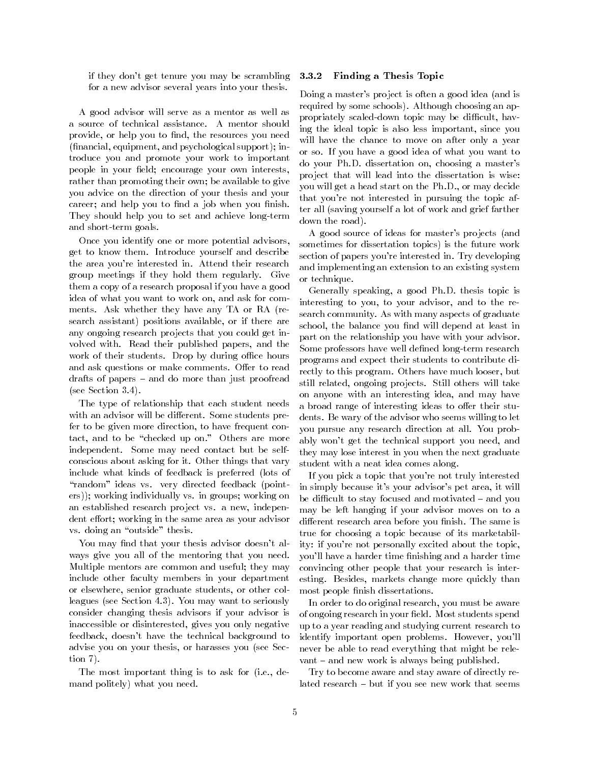if they don't get tenure you may be scrambling for a new advisor several years into your thesis

A good advisor will serve as a mentor as well as a source of technical assistance A mentor should provide, or help you to find, the resources you need nancial equipment and psychological support and psychological support  $\mathbb{I}$ troduce you and promote your work to important people in your field; encourage your own interests, rather than promoting their own; be available to give you advice on the direction of your thesis and your career; and help you to find a job when you finish. They should help you to set and achieve long-term and show that is not seen the show that is a set of the second term of the second state  $\mathcal{L}_t$ 

Once you identify one or more potential advisors get to know them. Introduce yourself and describe the area you're interested in. Attend their research group meetings if they hold them regularly. Give them a copy of a research proposal if you have a good idea of what you want to work on, and ask for comments. Ask whether they have any TA or RA (research assistant positions available or if there are any ongoing research projects that you could get involved with. Read their published papers, and the work of their students. Drop by during office hours and ask questions or make comments. Offer to read drafts of papers – and do more than just proofread see Section and Section

The type of relationship that each student needs with an advisor will be different. Some students prefer to be given more direction, to have frequent contact, and to be "checked up on." Others are more independent. Some may need contact but be selfconscious about asking for it Other things that vary include what kinds of feedback is preferred (lots of "random" ideas vs. very directed feedback (pointers working individually vs in groups working on an established research project vs. a new, independent effort; working in the same area as your advisor vs. doing an "outside" thesis.

You may find that your thesis advisor doesn't always give you all of the mentoring that you need Multiple mentors are common and useful; they may include other faculty members in your department or elsewhere, senior graduate students, or other colleagues to see Section and to see Section and to see Section and to see Section and to see Section and to see consider changing thesis advisors if your advisor is inaccessible or disinterested, gives you only negative feedback, doesn't have the technical background to advise you on your thesis, or harasses you (see Section and the state of the state of the state of the state of the state of the state of the state of the state o

The most important thing is to ask for  $(i.e., de$ mand pointers, when you need to

### -- Finding a Thesis Topic

 or so If you have a good idea of what you want to  $down the road$ . Doing a master's project is often a good idea (and is required by some schools and a some school school and oppropriately scaled-down topic may be dicult having the ideal topic is also less important, since you will have the chance to move on after only a year do your Ph.D. dissertation on, choosing a master's project that will lead into the dissertation is wise you will get a head start on the Ph.D., or may decide that you're not interested in pursuing the topic after all (saving yourself a lot of work and grief farther

> A good source of ideas for master's projects (and sometimes for dissertation topics, we therefore work work section of papers you're interested in. Try developing and implementing an extension to an existing system or technique

> interesting to you, to your advisor, and to the re search community As with many aspects of graduate part on the relationship you have with your advisor dents Be wary of the advisor who seems willing to let you pursue any research direction at all You prob they may lose interest in you when the next graduate Generally speaking, a good Ph.D. thesis topic is school, the balance you find will depend at least in s ener professors have well dened tengthen researches programs and expect their students to contribute directly to this program. Others have much looser, but still related, ongoing projects. Still others will take on anyone with an interesting idea, and may have a broad range of interesting ideas to offer their stuably won't get the technical support you need, and student with a neat idea comes along

> in simply because its your advisors pet area it will may be left hanging if your advisor moves on to a ity, if you is not personally excited about the topic, most people nish dissertations If you pick a topic that you're not truly interested be difficult to stay focused and motivated  $-$  and you different research area before you finish. The same is true for choosing a topic because of its marketabilyou'll have a harder time finishing and a harder time convincing other people that your research is interesting. Besides, markets change more quickly than

 never be able to read everything that might be rele-In order to do original research, you must be aware of ongoing research in your field. Most students spend up to a year reading and studying current research to identify important open problems. However, you'll vant  $-$  and new work is always being published.

Try to become aware and stay aware of directly related research  $-$  but if you see new work that seems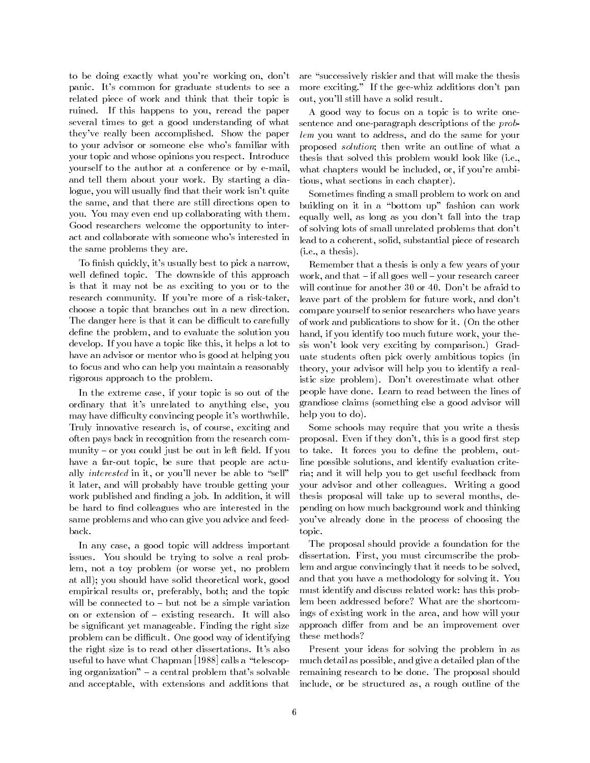to be doing exactly what you're working on, don't panic. It's common for graduate students to see a related piece of work and think that their topic is ruined. If this happens to you, reread the paper several times to get a good understanding of what they've really been accomplished. Show the paper to your advisor or someone else who's familiar with your topic and whose opinions you respect Introduce yourself to the author at a conference or by e-mails and tell them about your work By starting a dialogue, you will usually find that their work isn't quite the same, and that there are still directions open to you. You may even end up collaborating with them. Good researchers welcome the opportunity to interact and collaborate with someone who's interested in the same problems they are

To finish quickly, it's usually best to pick a narrow, well defined topic. The downside of this approach is that it may not be as exciting to you or to the research community If youre more of a risk-taker choose a topic that branches out in a new direction The danger here is that it can be difficult to carefully define the problem, and to evaluate the solution you develop. If you have a topic like this, it helps a lot to have an advisor or mentor who is good at helping you to focus and who can help you maintain a reasonably rigorous approach to the problem

In the extreme case, if your topic is so out of the ordinary that it's unrelated to anything else, you may have difficulty convincing people it's worthwhile. Truly innovative research is, of course, exciting and often pays back in recognition from the research com $munity - or you could just be out in left field. If you$ have a far-out topic be sure that people are actually be sure that people are actually be sure that people are ally *interested* in it, or you'll never be able to "sell" it later, and will probably have trouble getting your work published and finding a job. In addition, it will be hard to find colleagues who are interested in the same problems and who can give you advice and feedback

In any case, a good topic will address important issues. You should be trying to solve a real problem, not a toy problem (or worse yet, no problem at all the solid theoretical work good theoretical work good theoretical work good theoretical work good theoretical work good theoretical work good theoretical work good theoretical work good theoretical work good theoret empirical results or, preferably, both; and the topic will be connected to  $-$  but not be a simple variation on or extension of - existing research. It will also be significant yet manageable. Finding the right size problem can be difficult. One good way of identifying the right size is to read other dissertations. It's also useful to have what Chapman  $[1988]$  calls a "telescoping organization"  $-$  a central problem that's solvable and acceptable, with extensions and additions that

are "successively riskier and that will make the thesis more exciting If the gee-whiz additions dont pan out, you'll still have a solid result.

 tious what sections in each chapter A good way to focus on a topic is to write onesentence and one-paragraph descriptions of the prob lem you want to address, and do the same for your proposed *solution*; then write an outline of what a thesis that solved this problem would look like (i.e., what chapters would be included, or, if you're ambi-

 of solving lots of small unrelated problems that dont Sometimes finding a small problem to work on and building on it in a "bottom up" fashion can work equally well, as long as you don't fall into the trap lead to a coherent, solid, substantial piece of research  $(i.e., a thesis).$ 

Remember that a thesis is only a few years of your work, and that  $-$  if all goes well  $-$  your research career will continue for another 30 or 40. Don't be afraid to leave part of the problem for future work, and don't compare yourself to senior researchers who have years of work and publications to show for it. (On the other hand, if you identify too much future work, your thesis wont look very exciting by comparison Graduate students often pick overly ambitious topics (in theory your advisor will help you to identify a realistic size problem Dont overestimate what other people have done Learn to read between the lines of grandiose claims (something else a good advisor will help you to do

 proposal Even if they dont this is a good rst step line possible solutions and identify evaluation crite youve already done in the process of choosing the Some schools may require that you write a thesis to take. It forces you to define the problem, outria; and it will help you to get useful feedback from your advisor and other colleagues Writing a good thesis proposal will take up to several months, depending on how much background work and thinking topic

The proposal should provide a foundation for the dissertation. First, you must circumscribe the problem and argue convincingly that it needs to be solved and that you have a methodology for solving it You must identify and discuss related work: has this problem been addressed before? What are the shortcomings of existing work in the area, and how will your approach differ from and be an improvement over these methods

 much detail as possible and give a detailed plan of the Present your ideas for solving the problem in as remaining research to be done. The proposal should include, or be structured as, a rough outline of the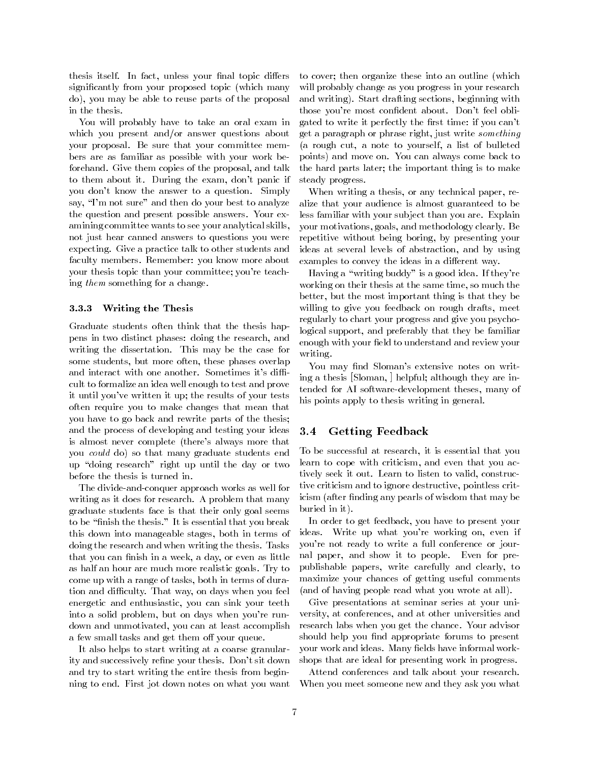thesis itself. In fact, unless your final topic differs significantly from your proposed topic (which many do you may be able to reuse parts of the proposal in the thesis

You will probably have to take an oral exam in which you present and/or answer questions about your proposal. Be sure that your committee members are as familiar as possible with your work beforehand. Give them copies of the proposal, and talk to them about it. During the exam, don't panic if you don't know the answer to a question. Simply say, "I'm not sure" and then do your best to analyze the question and present possible answers. Your examining committee wants to see your analytical skills not just hear canned answers to questions you were expecting. Give a practice talk to other students and faculty members. Remember: you know more about your thesis topic than your committee; you're teaching them something for a change

### Writing the Thesis

Graduate students often think that the thesis happens in two distinct phases: doing the research, and writing the dissertation. This may be the case for some students, but more often, these phases overlap and interact with one another. Sometimes it's difficult to formalize an idea well enough to test and prove it until you've written it up; the results of your tests often require you to make changes that mean that you have to go back and rewrite parts of the thesis and the process of developing and testing your ideas is almost never complete (there's always more that you could do so that many graduate students end up "doing research" right up until the day or two before the thesis is turned in

and divided and divide-probach works as well for a well for the set of the set of the set of the set of the set writing as it does for research. A problem that many graduate students face is that their only goal seems to be "finish the thesis." It is essential that you break this down into manageable stages, both in terms of doing the research and when writing the thesis. Tasks that you can finish in a week, a day, or even as little as half an hour are much more realistic goals. Try to come up with a range of tasks, both in terms of duration and difficulty. That way, on days when you feel energetic and enthusiastic, you can sink your teeth into a solid problem, but on days when you're rundown and unmotivated, you can at least accomplish a few small tasks and get them off your queue.

It also helps to start writing at a coarse granularity and successively refine your thesis. Don't sit down and try to start writing the entire thesis from beginning to end. First jot down notes on what you want

 a rough cut a note to yourself a list of bulleted points and move on your cancel the same back to always come always come back to to cover; then organize these into an outline (which will probably change as you progress in your research and writing Start drafting sections beginning with those you're most confident about. Don't feel obligated to write it perfectly the first time: if you can't get a paragraph or phrase right, just write something the hard parts later; the important thing is to make steady progress

 less familiar with your subject than you are Explain When writing a thesis, or any technical paper, realize that your audience is almost guaranteed to be your motivations, goals, and methodology clearly. Be repetitive without being boring by presenting your ideas at several levels of abstraction, and by using examples to convey the ideas in a different way.

 logical support and preferably that they be familiar Having a "writing buddy" is a good idea. If they're working on their thesis at the same time, so much the better, but the most important thing is that they be willing to give you feedback on rough drafts, meet regularly to chart your progress and give you psychoenough with your field to understand and review your writing

ing a thesis |Sloman, | helpful; although they are in-You may find Sloman's extensive notes on writtended for AI software-development theses many of his points apply to thesis writing in general

#### 3.4 Getting Feedback

To be successful at research it is essential that you learn to cope with criticism, and even that you actively seek it out. Learn to listen to valid, constructive criticism and to ignore destructive, pointless criticism (after finding any pearls of wisdom that may be buried in it

In order to get feedback, you have to present your ideas. Write up what you're working on, even if you're not ready to write a full conference or journal paper, and show it to people. Even for prepublishable papers, write carefully and clearly, to maximize your chances of getting useful comments and of having people read what you wrote at all

versity, at conferences and at other universities and at  $\alpha$  your work and ideas Many elds have informal work-Give presentations at seminar series at your uniresearch labs when you get the chance. Your advisor should help you find appropriate forums to present shops that are ideal for presenting work in progress

Attend conferences and talk about your research When you meet someone new and they ask you what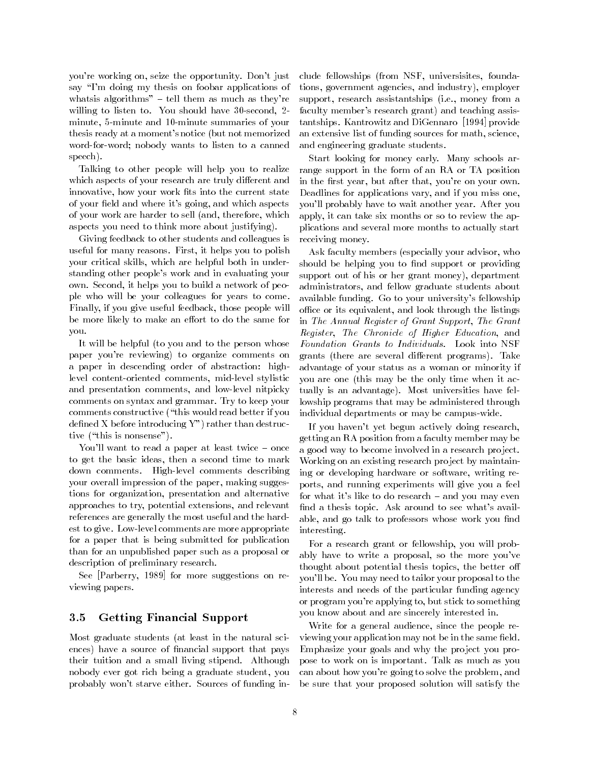you're working on, seize the opportunity. Don't just say "I'm doing my thesis on foobar applications of whatsis algorithms"  $-$  tell them as much as they're will be to the total to the total to the total to the total to the total to the total to the total to the total minute -minute and -minute summaries of your thesis ready at a moment's notice (but not memorized word-control word-collection to control to a cannot to speech

Talking to other people will help you to realize which aspects of your research are truly different and innovative, how your work fits into the current state of your field and where it's going, and which aspects of your work are harder to sell (and, therefore, which as pects you about to think more about we have passed you all

Giving feedback to other students and colleagues is useful for many reasons. First, it helps you to polish your critical skills, which are helpful both in understanding other people's work and in evaluating your own. Second, it helps you to build a network of people who will be your colleagues for years to come Finally, if you give useful feedback, those people will be more likely to make an effort to do the same for you

It will be helpful (to you and to the person whose paper youre reviewing to organize comments on a paper in descending order of abstraction: highlevel content-oriented comments mid-level stylistic and presentation comments and low-level nitpicky comments on syntax and grammar. Try to keep your comments constructive ("this would read better if you dened X before introducing Y before internal destructive and the consensus of the consensus of the consensus of the consensus of the consensus of the consensus of

You'll want to read a paper at least twice  $-$  once to get the basic ideas, then a second time to mark down comments High-level comments describing your overall impression of the paper, making suggestions for organization presentation and alternative approaches to try potential extensions and relevant references are generally the most useful and the hardest to give more in the comments are more appropriate and a for a paper that is being submitted for publication than for an unpublished paper such as a proposal or description of preliminary research.

See [Parberry, 1989] for more suggestions on reviewing papers

### 3.5 Getting Financial Support

Most graduate students (at least in the natural sciences, mais a source or monument support inter pays t their tuition and a small living stipend. Although nobody ever got rich being a graduate student, you probably won't starve either. Sources of funding in-

 faculty members research grant and teaching assisclude fellowships (from NSF, universisites, foundations government agencies and industry and industry and industry and industry and industry and industry and in support, research assistantships (i.e., money from a tantships. Kantrowitz and DiGennaro [1994] provide an extensive list of funding sources for math, science, and engineering graduate students

Start looking for money early Many schools arrange support in the form of an RA or TA position in the first year, but after that, you're on your own. Deadlines for applications vary, and if you miss one, you'll probably have to wait another year. After you apply, it can take six months or so to review the applications and several more months to actually start receiving money

 should be helping you to nd support or providing administrators and fellow graduate students about advantage of your status as a woman or minority if Ask faculty members (especially your advisor, who support out or his or her grant money (1 separtment available funding. Go to your university's fellowship office or its equivalent, and look through the listings in The Annual Register of Grant Support, The Grant Register, The Chronicle of Higher Education, and Foundation Grants to Individuals. Look into NSF grants there are several dierent programs Take you are one (this may be the only time when it actually is an advantage Most universities have fellowship programs that may be administered through individual departments or may be campus-wide

 ports and running experiments will give you a feel able, and go talk to professors whose work you nnu If you haven't yet begun actively doing research, getting an RA position from a faculty member may be a good way to become involved in a research project Working on an existing research project by maintaining or developing hardware or software, writing refor what it's like to do research  $-$  and you may even find a thesis topic. Ask around to see what's availinteresting

 youll be You may need to tailor your proposal to the For a research grant or fellowship, you will probably have to write a proposal, so the more you've thought about potential thesis topics, the better off interests and needs of the particular funding agency or program you're applying to, but stick to something you know about and are sincerely interested in

viewing your application may not be in the same elder may be be sure that your proposed solution will satisfy the Write for a general audience, since the people re-Emphasize your goals and why the project you propose to work on is important. Talk as much as you can about how you're going to solve the problem, and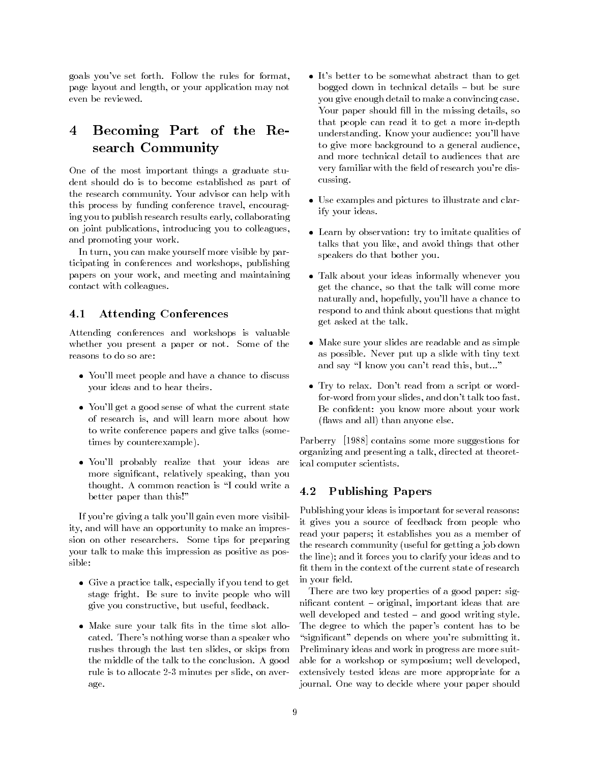goals you've set forth. Follow the rules for format, page layout and length, or your application may not even be reviewed.

# 4 Becoming Part of the Research Community

One of the most important things a graduate student should do is to become established as part of the research community Your advisor can help with this process by funding conference travel, encouraging you to publish research results early, collaborating on joint publications, introducing you to colleagues, and promoting your work

In turn, you can make yourself more visible by participating in conferences and workshops, publishing papers on your work and meeting and maintaining contact with colleagues

#### 4.1 Attending Conferences

Attending conferences and workshops is valuable whether you present a paper or not. Some of the reasons to do so are

- $\bullet\,$  You'll meet people and have a chance to discuss  $\,$ your ideas and to hear theirs
- $\bullet\,$  You'll get a good sense of what the current state  $\,$ of research is, and will learn more about how to write conference papers and give talks (sometimes by counterexample, we countered the countered problem in the countered problem in the countered problem in the countered problem in the counter of the counter of the counter of the counter of the counter of the count
- $\bullet$  You'll probably realize that your ideas are  $_{\rm H}$ more significant, relatively speaking, than you thought. A common reaction is "I could write a better paper than this

If you're giving a talk you'll gain even more visibility, and will have an opportunity to make an impression on other researchers. Some tips for preparing your talk to make this impression as positive as possible:

- $\bullet$  Give a practice talk, especially if you tend to get  $\hspace{0.1mm}$ stage fright. Be sure to invite people who will give you constructive, but useful, feedback.
- $\bullet$  Make sure your talk fits in the time slot allocated. There's nothing worse than a speaker who rushes through the last ten slides, or skips from the middle of the talk to the conclusion A good rule is to allocate - considered per slide, all stead age
- $\bullet$  It's better to be somewhat abstract than to get  $\hspace{0.1mm}$ bogged down in technical details  $-$  but be sure you give enough detail to make a convincing case Your paper should fill in the missing details, so that people can read it to get a more inunderstanding. Know your audience: you'll have to give more background to a general audience and more technical detail to audiences that are very familiar with the field of research you're discussing
- Use examples and pictures to illustrate and clarify your ideas
- $\bullet$  Learn by observation: try to imitate qualities of talks that you like, and avoid things that other speakers do that bother you
- $\bullet$  -Lalk about your ideas informally whenever you get the chance, so that the talk will come more naturally and, hopefully, you'll have a chance to respond to and think about questions that might get asked at the talk
- $\bullet$  -Make sure your slides are readable and as simple  $\hspace{0.1mm}$ as possible. Never put up a slide with tiny text and say "I know you can't read this, but..."
- $\bullet\;$  Iry to relax. Don't read from a script or wordfor-word from your slides and dont talk too fast Be confident: you know more about your work , than any one all the all than any order than a state of the state of the state of the state of the state of

r droof is a contained borne more eaglestions for organizing and presenting a talk directed at theoretical computer scientists

#### $4.2$ Publishing Papers

 it gives you a source of feedback from people who read your papers; it establishes you as a member of the line); and it forces you to clarify your ideas and to Publishing your ideas is important for several reasons the research community (useful for getting a job down fit them in the context of the current state of research in your field.

 The degree to which the papers content has to be extensively tested ideas are more appropriate for a There are two key properties of a good paper: significant content - original, important ideas that are well developed and tested  $-$  and good writing style. "significant" depends on where you're submitting it. Preliminary ideas and work in progress are more suitable for a workshop or symposium; well developed, journal. One way to decide where your paper should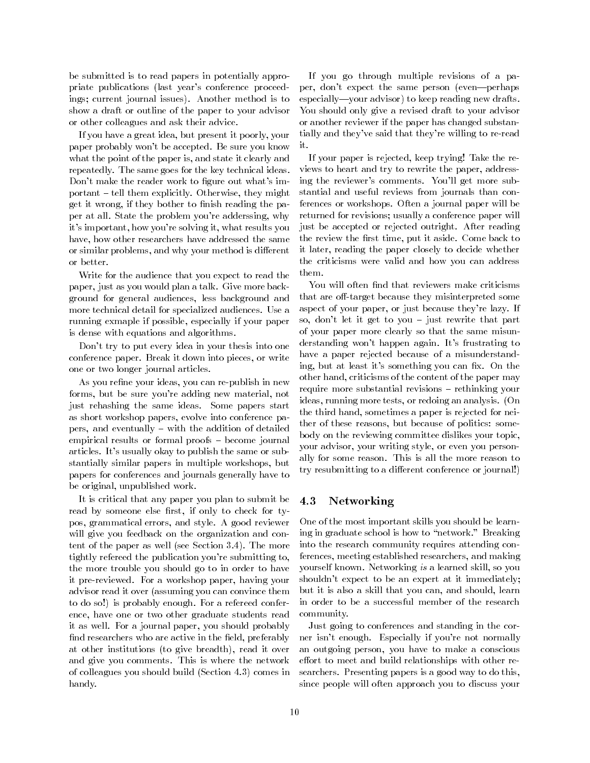be submitted is to read papers in potentially appropriate publications (last year's conference proceedings current journal issues and interesting the method is to be a strong through the strong strong strong through the strong strong strong strong strong strong strong strong strong strong strong strong strong strong strong show a draft or outline of the paper to your advisor or other colleagues and ask their advice

If you have a great idea, but present it poorly, your paper probably won't be accepted. Be sure you know what the point of the paper is, and state it clearly and repeatedly. The same goes for the key technical ideas. Don't make the reader work to figure out what's important – tell them explicitly. Otherwise, they might get it wrong, if they bother to finish reading the paper at all. State the problem you're adderssing, why it's important, how you're solving it, what results you have, how other researchers have addressed the same or similar problems, and why your method is different or better

Write for the audience that you expect to read the paper, just as you would plan a talk. Give more background for general audiences less background and more technical detail for specialized audiences Use a running exmaple if possible, especially if your paper is dense with equations and algorithms

Don't try to put every idea in your thesis into one conference paper. Break it down into pieces, or write one or two longer journal articles

As you rene your ideas you can re-publish in new forms, but be sure you're adding new material, not just rehashing the same ideas Some papers start as short workshop papers, evolve into conference papers, and eventually - with the addition of detailed empirical results or formal proofs - become journal articles. It's usually okay to publish the same or substantially similar papers in multiple workshops, but papers for conferences and journals generally have to be original, unpublished work.

It is critical that any paper you plan to submit be read by someone else first, if only to check for typos, grammatical errors, and style. A good reviewer will give you feedback on the organization and content of the paper as well as well as well as well as well as well as well as well as well as well as well as w tightly refereed the publication you're submitting to, the more trouble you should go to in order to have it pre-reviewed For a workshop paper having your advisor read it over (assuming you can convince them to do so is probably enough For a refereed conference, have one or two other graduate students read it as well. For a journal paper, you should probably find researchers who are active in the field, preferably at other institutions are give breadth it over the co and give you comments This is where the network of collecting the show that the show in the comes in the section of the section of the section of the section of the section of the section of the section of the section of the section of the section of the section of the handy

 per dont expect the same person even perhaps If you go through multiple revisions of a paespecially your advisor to keep reading new drafts You should only give a revised draft to your advisor or another reviewer if the paper has changed substantially and theyve said that theyre willing to re-read

 ing the reviewers comments Youll get more sub-If your paper is rejected, keep trying! Take the reviews to heart and try to rewrite the paper, addressstantial and useful reviews from journals than conferences or workshops. Often a journal paper will be returned for revisions; usually a conference paper will just be accepted or rejected outright. After reading the review the first time, put it aside. Come back to it later, reading the paper closely to decide whether the criticisms were valid and how you can address them

ther of these reasons, but because of politics: someally for some reason. This is all the more reason to You will often find that reviewers make criticisms that are o-target because they misinterpreted some aspect of your paper, or just because they're lazy. If so, don't let it get to you - just rewrite that part of your paper more clearly so that the same misunderstanding won't happen again. It's frustrating to have a paper rejected because of a misunderstanding, but at least it's something you can fix. On the other hand, criticisms of the content of the paper may require more substantial revisions - rethinking your ideas, running more tests, or redoing an analysis. (On the third hand, sometimes a paper is rejected for neibody on the reviewing committee dislikes your topic your advisor, your writing style, or even you persontry resubmitting to a different conference or journal!)

#### 4.3 Networking

 ing in graduate school is how to network Breaking One of the most important skills you should be learninto the research community requires attending conferences, meeting established researchers, and making yourself known. Networking is a learned skill, so you shouldn't expect to be an expert at it immediately; but it is also a skill that you can, and should, learn community

Just going to conferences and standing in the corner isn't enough. Especially if you're not normally an outgoing person, you have to make a conscious effort to meet and build relationships with other researchers. Presenting papers is a good way to do this, since people will often approach you to discuss your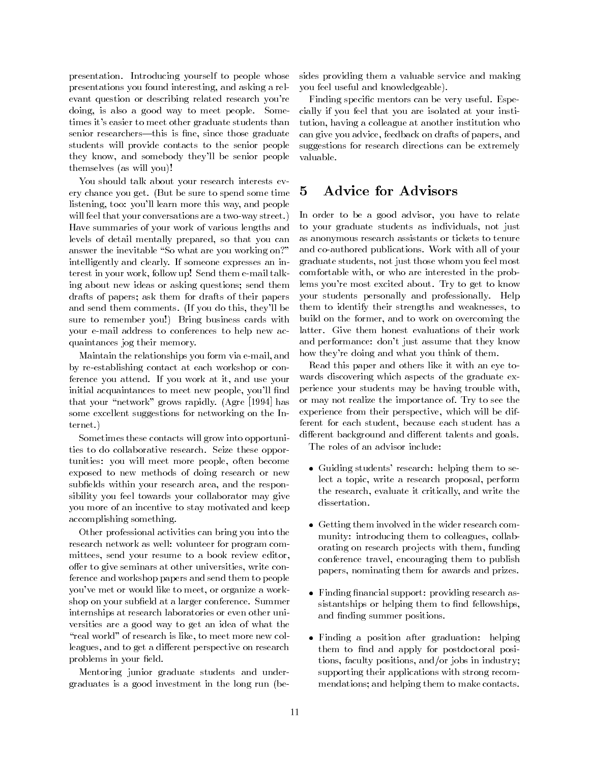presentation. Introducing yourself to people whose presentations you found interesting and asking a relevant question or describing related research you're doing, is also a good way to meet people. Sometimes it's easier to meet other graduate students than senior researchers—this is fine, since those graduate students will provide contacts to the senior people they know, and somebody they'll be senior people valuable. the self-construction  $\mathcal{A}$  as well as well as  $\mathcal{A}$  as well as  $\mathcal{A}$ 

You should talk about your research interests every chance you get. (But be sure to spend some time listening, too: you'll learn more this way, and people will feel that you that you that you that you that you the street that you the street that you the street that you the street that you the street that you the street that you the street that you the street that you the str Have summaries of your work of various lengths and levels of detail mentally prepared, so that you can answer the inevitable "So what are you working on?" intelligently and clearly. If someone expresses an interest in your work follow up Send them e-mail talking about new ideas or asking questions; send them drafts of papers; ask them for drafts of their papers and send them comments. (If you do this, they'll be sure to remember your, money commence cards with your e-mail address to conferences to help new acquaintances jog their memory

Maintain the relationships you form via e-mail and by re-establishing contact at each workshop or conference you attend. If you work at it, and use your initial acquaintances to meet new people, you'll find that your "network" grows rapidly. (Agre [1994] has some excellent suggestions for networking on the Internet

Sometimes these contacts will grow into opportunities to do collaborative research. Seize these opportunities: you will meet more people, often become exposed to new methods of doing research or new subfields within your research area, and the responsibility you feel towards your collaborator may give you more of an incentive to stay motivated and keep accomplishing something

Other professional activities can bring you into the research network as well: volunteer for program committees, send your resume to a book review editor, offer to give seminars at other universities, write conference and workshop papers and send them to people you've met or would like to meet, or organize a workshop on your subfield at a larger conference. Summer internships at research laboratories or even other universities are a good way to get an idea of what the "real world" of research is like, to meet more new colleagues, and to get a different perspective on research problems in your field.

Mentoring junior graduate students and undergraduates is a good investment in the long run (be-

 you feel useful and knowledgeable sides providing them a valuable service and making

 cially if you feel that you are isolated at your insti-Finding specific mentors can be very useful. Espetution having a colleague at another institution who can give you advice feedback on drafts of papers and suggestions for research directions can be extremely

## Advice for Advisors

 In order to be a good advisor you have to relate  $\Omega$  , those whom you feel most those whom you feel most those whose whom you feel most those whose whose whose whose whose whose whose whose whose whose whose whose whose whose whose whose whose whose whose whose whose w component with order with order  $\mathbf{r}$ to your graduate students as individuals, not just as anonymous research assistants or tickets to tenure and co-authored publications Work with all of your lems you're most excited about. Try to get to know your students personally and professionally. Help them to identify their strengths and weaknesses, to build on the former, and to work on overcoming the latter. Give them honest evaluations of their work and performance: don't just assume that they know how they're doing and what you think of them.

Read this paper and others like it with an eye towards discovering which aspects of the graduate experience your students may be having trouble with or may not realize the importance of. Try to see the experience from their perspective, which will be different for each student, because each student has a different background and different talents and goals.

The roles of an advisor include

- $\bullet$  Guiding students research: helping them to select a topic, write a research proposal, perform the research, evaluate it critically, and write the dissertation
- $\bullet\,$  Getting them involved in the wider research community: introducing them to colleagues, collaborating on research projects with them, funding conference travel, encouraging them to publish papers, nominating them for awards and prizes.
- $\bullet$  Finding financial support: providing research assistantships or helping them to find fellowships, and finding summer positions.
- $\bullet$  Finding a position after graduation: helping them to find and apply for postdoctoral positions, faculty positions, and/or jobs in industry; supporting their applications with strong recommendations; and helping them to make contacts.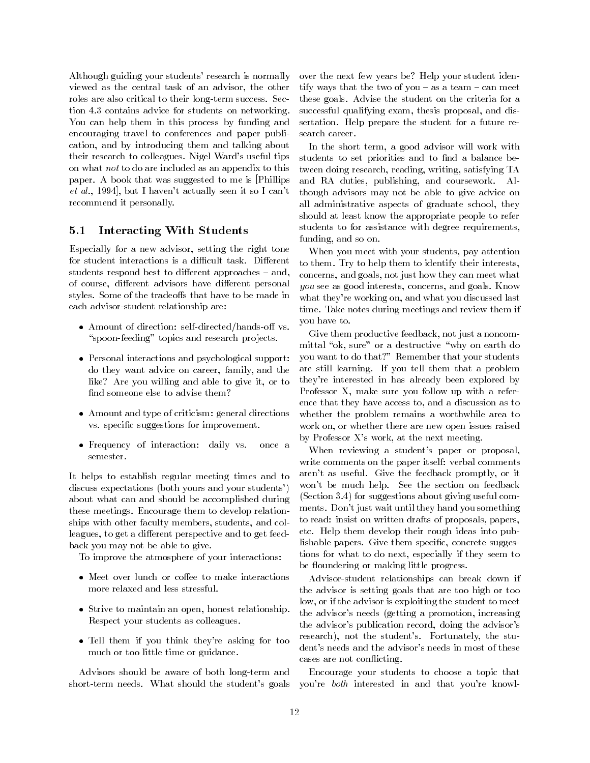Although guiding your students' research is normally viewed as the central task of an advisor, the other roles are also critical to their long-term success Section 4.3 contains advice for students on networking. You can help them in this process by funding and encouraging travel to conferences and paper publication, and by introducing them and talking about their research to colleagues. Nigel Ward's useful tips on what not to do are included as an appendix to this paper. A book that was suggested to me is [Phillips  $et al., 1994$ , but I haven't actually seen it so I can't recommend it personally

### 5.1 Interacting With Students

Especially for a new advisor, setting the right tone for student interactions is a difficult task. Different students respond best to different approaches  $-$  and, of course, different advisors have different personal styles. Some of the tradeoffs that have to be made in each advisor-student relationship are the student relationship are the student relationship are the student relationship are the student relationship are the student relationship are the student relationship are the studen

- $\bullet$  Amount of direction: self-directed/hands-off vs. spoon-feeding topics and research projects
- $\bullet\,$  Personal interactions and psychological support:  $\,$ do they want advice on career, family, and the like? Are you willing and able to give it, or to find someone else to advise them?
- $\bullet$  Amount and type of criticism: general directions  $\rightarrow$ vs. specific suggestions for improvement.
- $\bullet$  <code>Frequency of interaction: daily vs. once a</code> semester

It helps to establish regular meeting times and to discuss expectations (both yours and your students') about what can and should be accomplished during these meetings. Encourage them to develop relationships with other faculty members, students, and colleagues, to get a different perspective and to get feedback you may not be able to give

To improve the atmosphere of your interactions

- $\bullet$  Meet over lunch or coffee to make interactions more relaxed and less stressful
- $\bullet$  Strive to maintain an open, honest relationship. Respect your students as colleagues
- $\bullet$  lell them if you think they're asking for too  $\,$  . much or too little time or guidance

term and and both long-both long-both long-both longshort-term needs what show the students goals

 $\mathbf{A}$  the studient on the studient on the studient on the criteria for a for a for a for a for a for a for a for a for a form over the next few years be? Help your student identify ways that the two of you  $-$  as a team  $-$  can meet successful qualifying exam, thesis proposal, and dissertation. Help prepare the student for a future re-

In the short term, a good advisor will work with students to set priorities and to find a balance between doing research, reading, writing, satisfying TA and RA duties, publishing, and coursework. Although advisors may not be able to give advice on all administrative aspects of graduate school, they should at least know the appropriate people to refer students to for assistance with degree requirements funding, and so on.

When you meet with your students, pay attention to them. Try to help them to identify their interests, concerns, and goals, not just how they can meet what you see as good interests, concerns, and goals. Know what they're working on, and what you discussed last time. Take notes during meetings and review them if you have to

Give them productive feedback, not just a noncommittal "ok, sure" or a destructive "why on earth do you want to do that?" Remember that your students are still learning. If you tell them that a problem they're interested in has already been explored by Professor X, make sure you follow up with a reference that they have access to, and a discussion as to whether the problem remains a worthwhile area to work on, or whether there are new open issues raised by Professor X's work, at the next meeting.

When reviewing a student's paper or proposal, write comments on the paper itself: verbal comments aren't as useful. Give the feedback promptly, or it won't be much help. See the section on feedback  $S$  such a suggestions about  $\mathcal{A}$  about  $\mathcal{A}$  about  $\mathcal{A}$  about  $\mathcal{A}$  about  $\mathcal{A}$ ments. Don't just wait until they hand you something to read insist on written drafts of proposals papers etc Help them develop their rough ideas into publishable papers Give them specic concrete suggestions for what to do next, especially if they seem to be floundering or making little progress.

Advisor-student relationships can break down if the advisor is setting goals that are too high or too low, or if the advisor is exploiting the student to meet the advisor's needs (getting a promotion, increasing the advisor's publication record, doing the advisor's research the students Fortunately the students Fortunately the students Fortunately the students Fortunately t dent's needs and the advisor's needs in most of these cases are not conflicting.

Encourage your students to choose a topic that you're both interested in and that you're knowl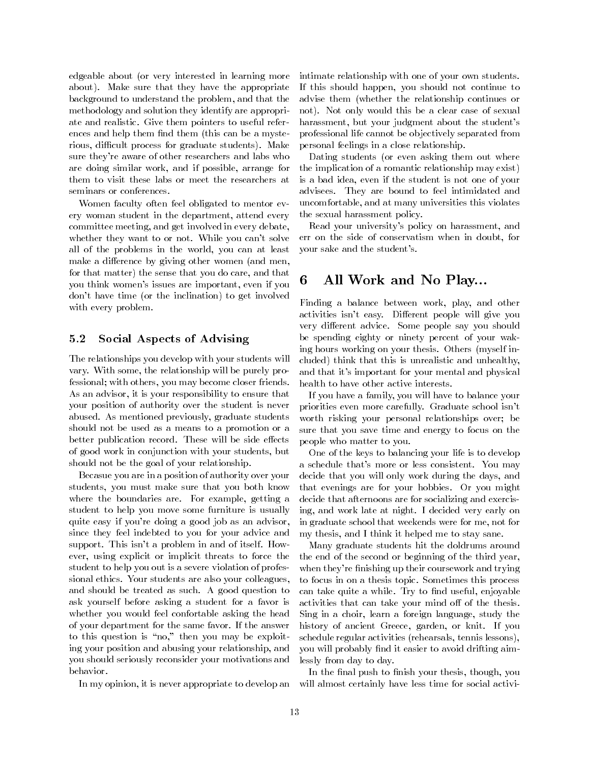edgeable about (or very interested in learning more about the sure that they have the appropriate the appropriate the appropriate the appropriate the appropriate background to understand the problem, and that the methodology and solution they identify are appropriate and realistic. Give them pointers to useful references and help them find them (this can be a mysterious dicult process for graduate students Make sure they're aware of other researchers and labs who are doing similar work, and if possible, arrange for them to visit these labs or meet the researchers at seminars or conferences

Women faculty often feel obligated to mentor every woman student in the department, attend every committee meeting, and get involved in every debate, whether they want to or not. While you can't solve all of the problems in the world, you can at least make a difference by giving other women (and men. for that matter the sense that you do care and that you think women's issues are important, even if you dont have time or the inclination to get involved with every problem

#### 5.2 Social Aspects of Advising

The relationships you develop with your students will vary. With some, the relationship will be purely professional; with others, you may become closer friends. As an advisor it is your responsibility to ensure that your position of authority over the student is never abused. As mentioned previously, graduate students should not be used as a means to a promotion or a better publication record. These will be side effects of good work in conjunction with your students but should not be the goal of your relationship

Becasue you are in a position of authority over your students, you must make sure that you both know where the boundaries are. For example, getting a student to help you move some furniture is usually quite easy if you're doing a good job as an advisor, since they feel indebted to you for your advice and support. This isn't a problem in and of itself. However, using explicit or implicit threats to force the student to help you out is a severe violation of professional ethics. Your students are also your colleagues, and should be treated as such A good question to ask yourself before asking a student for a favor is whether you would feel confortable asking the head of your department for the same favor If the answer to this question is "no," then you may be exploiting your position and abusing your relationship and you should seriously reconsider your motivations and behavior

In my opinion, it is never appropriate to develop an

not only would this begin this begin that the above a clear case of sexual case of sexual case of sexual case o harassment but your judgment about the students of the students of the students of the students of the students professional life cannot be objectively separated from intimate relationship with one of your own students If this should happen, you should not continue to advise them (whether the relationship continues or personal feelings in a close relationship

Dating students (or even asking them out where the implication of a romantic relationship may exist is a bad idea, even if the student is not one of your advisees They are bound to feel intimidated and uncomfortable, and at many universities this violates the sexual harassment policy

Read your university's policy on harassment, and err on the side of conservatism when in doubt, for your sake and the student's.

## All Work and No Play

 and that its important for your mental and physical Finding a balance between work, play, and other activities isn't easy. Different people will give you very different advice. Some people say you should be spending eighty or ninety percent of your waking hours working on your thesis. Others (myself included that the think that the think that the think that the think the think that the think the think the think the think the think the think the think the think the think the think the think the think the think the think health to have other active interests

If you have a family, you will have to balance your priorities even more carefully. Graduate school isn't worth risking your personal relationships over; be sure that you save time and energy to focus on the people who matter to you

One of the keys to balancing your life is to develop a schedule that's more or less consistent. You may decide that you will only work during the days, and that evenings are for your hobbies Or you might decide that afternoons are for socializing and exercising, and work late at night. I decided very early on in graduate school that weekends were for me, not for my thesis, and I think it helped me to stay sane.

when they re-miniming up their coursework and trying schedule regular activities (rehearsals, tennis ressons) Many graduate students hit the doldrums around the end of the second or beginning of the third year to focus in on a thesis topic. Sometimes this process can take quite a while. Try to find useful, enjoyable activities that can take your mind off of the thesis. Sing in a choir, learn a foreign language, study the history of ancient Greece, garden, or knit. If you you will probably find it easier to avoid drifting aimlessly from day to day

In the final push to finish your thesis, though, you will almost certainly have less time for social activi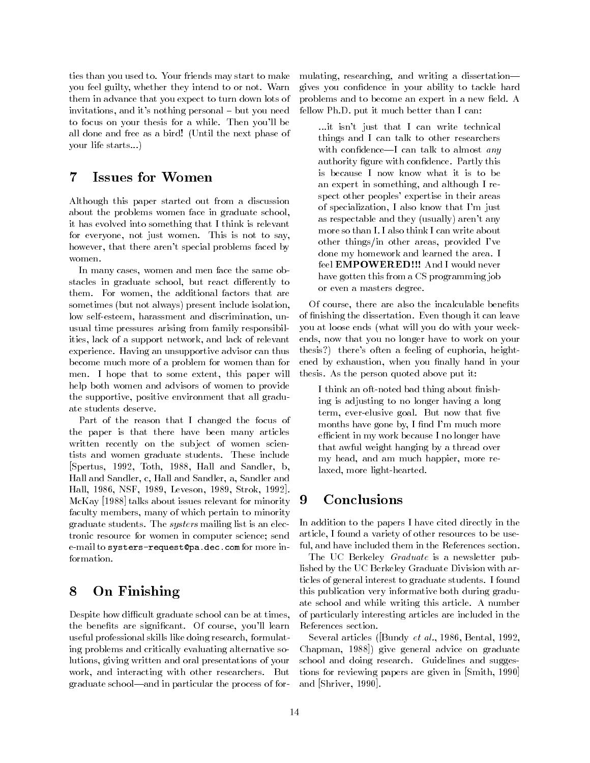ties than you used to Your friends may start to make you feel guilty, whether they intend to or not. Warn them in advance that you expect to turn down lots of invitations, and it's nothing personal - but you need to focus on your thesis for a while. Then you'll be all done and free as a bird! (Until the next phase of your life starts...)

## $\overline{7}$

Although this paper started out from a discussion about the problems women face in graduate school it has evolved into something that I think is relevant for everyone, not just women. This is not to say, however, that there aren't special problems faced by women.

In many cases, women and men face the same obstacles in graduate school, but react differently to them. For women, the additional factors that are sometimes , and more include present include included in low self-esteem harassment and discrimination unusual time pressures arising from family responsibilities, lack of a support network, and lack of relevant experience. Having an unsupportive advisor can thus become much more of a problem for women than for men. I hope that to some extent, this paper will help both women and advisors of women to provide the supportive, positive environment that all graduate students deserve

Part of the reason that I changed the focus of the paper is that there have been many articles written recently on the subject of women scientists and women graduate students. These include [Spertus, 1992, Toth, 1988, Hall and Sandler, b, Hall and Sandler, c, Hall and Sandler, a, Sandler and Hall, 1986, NSF, 1989, Leveson, 1989, Strok, 1992. McKay [1988] talks about issues relevant for minority  $9$ faculty members, many of which pertain to minority graduate students. The *systers* mailing list is an electronic resource for women in computer science; send e-mail to systers-requestpadeccom for more information

## On Finishing

Despite how difficult graduate school can be at times, the benefits are significant. Of course, you'll learn useful professional skills like doing research, formulating problems and critically evaluating alternative solutions giving written and oral presentations of your work, and interacting with other researchers. But graduate school—and in particular the process of formulating, researching, and writing a dissertationgives you confidence in your ability to tackle hard problems and to become an expert in a new field. A fellow Ph.D. put it much better than I can:

...it isn't just that I can write technical things and I can talk to other researchers with confidence  $\equiv$  I can talk to almost any authority figure with confidence. Partly this is because I now know what it is to be an expert in something, and although I respect other peoples' expertise in their areas of specialization, I also know that I'm just as respectively and they well and they were also they more so than I. I also think I can write about other things/in other areas, provided I've done my homework and learned the area I feel EMPOWERED!!! And I would never have gotten this from a CS programming job or even a masters degree

 you at loose ends what will you do with your week-Of course, there are also the incalculable benefits of finishing the dissertation. Even though it can leave ends, now that you no longer have to work on your thesis of the feeling of euphoria height-there are a few and the feeling of euphoria height-the-theened by exhaustion, when you finally hand in your thesis As the person quoted above put it

I think an oft-noted bad thing about nishing is adjusting to no longer having a long term ever-elusive goal But now that ve months have gone by, I find I'm much more efficient in my work because I no longer have that awful weight hanging by a thread over my head, and am much happier, more relaxed more light-hearted

# Conclusions

In addition to the papers I have cited directly in the article I found a variety of other resources to be useful, and have included them in the References section.

The UC Berkeley *Graduate* is a newsletter published by the UC Berkeley Graduate Division with articles of general interest to graduate students I found this publication very informative both during graduate school and while writing this article A number of particularly interesting articles are included in the References section

Chapman, 1900], give general advice on graduate  $\alpha$ nd  $\beta$ hriver, 1999,  $\alpha$ Several articles ([Bundy *et al.*, 1986, Bental, 1992. school and doing research. Guidelines and suggestions for reviewing papers are given in [Smith, 1990]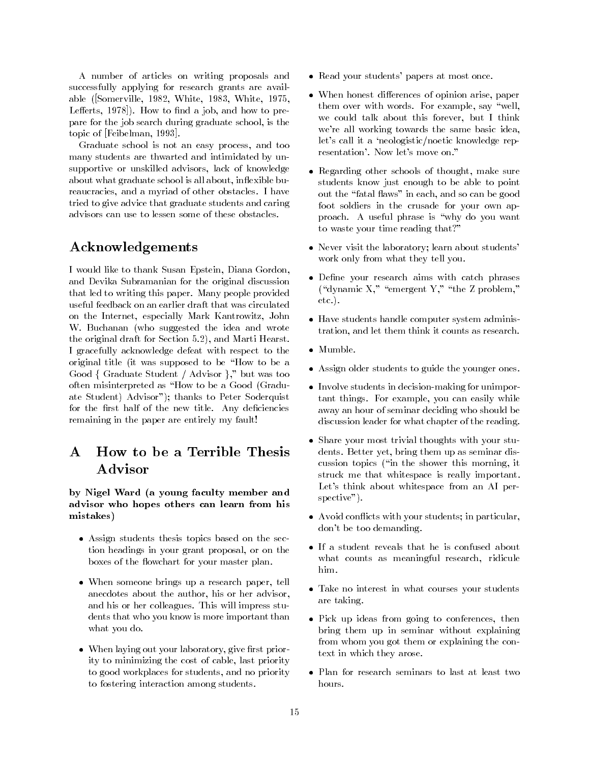A number of articles on writing proposals and successfully applying for research grants are available (Somerville, 1982, White, 1983, White, 1975, Benefee, for equipment to hear to prepare for the job search during graduate school, is the topic of [Feibelman, 1993].

Graduate school is not an easy process, and too many students are thwarted and intimidated by unsupportive or unskilled advisors, lack of knowledge about what graduate school is all about, inflexible bureaucracies, and a myriad of other obstacles. I have tried to give advice that graduate students and caring advisors can use to lessen some of these obstacles.

# Acknowledgements

I would like to thank Susan Epstein, Diana Gordon, and Devika Subramanian for the original discussion that led to writing this paper. Many people provided useful feedback on an earlier draft that was circulated on the Internet, especially Mark Kantrowitz, John W. Buchanan (who suggested the idea and wrote the original draft for Section and Marti Hearst I gracefully acknowledge defeat with respect to the original title (it was supposed to be "How to be a Good { Graduate Student / Advisor }," but was too often misinterpreted as "How to be a Good (Graduate Student and the Student Sodern Sodern Sodern Sodern Sodern Sodern Sodern Sodern Sodern Sodern Sodern Soder for the first half of the new title. Any deficiencies remaining in the paper are entirely my fault

### How to be a Terrible Thesis  $\mathbf{A}$ Advisor

### by Nigel Ward (a young faculty member and advisor who hopes others can learn from his mistakes) mistakes

- Assign students thesis topics based on the section headings in your grant proposal, or on the boxes of the flowchart for your master plan.
- $\bullet\,$  When someone brings up a research paper, tell  $\,$ anecdotes about the author, his or her advisor, and his or her colleagues This will impress students that who you know is more important than what you do
- $\bullet$  When laying out your laboratory, give first priority to minimizing the cost of cable, last priority to good workplaces for students, and no priority to fostering interaction among students
- $\bullet\,$  Kead your students' papers at most once.  $\,$
- $\bullet$  When honest differences of opinion arise, paper them over with words. For example, say "well, we could talk about this forever, but I think we're all working towards the same basic idea, let's call it a 'neologistic/noetic knowledge representation'. Now let's move on."
- $\bullet$  -Kegarding other schools of thought, make sure students know just enough to be able to point out the "fatal flaws" in each, and so can be good foot soldiers in the crusade for your own approach. A useful phrase is "why do you want to waste your time reading that?"
- $\bullet\,$  Never visit the laboratory; learn about students'  $\,$ work only from what they tell you
- $\bullet$  Define your research aims with catch phrases ("dynamic X," "emergent Y," "the Z problem," et al. et al. et al. et al. et al. et al. et al. et al. et al. et al. et al. et al. et al. et al. et al. et a
- $\bullet\,$  Have students handle computer system administration, and let them think it counts as research. tration and let the maximum and let the maximum and let the maximum and let the maximum and let the maximum an
- $\bullet\,$  Mumble.
- Assign older students to guide the younger ones
- $\bullet\,$  Involve students in decision-making for unimportant things. For example, you can easily while away an hour of seminar deciding who should be discussion leader for what chapter of the reading
- $\bullet$  Share your most trivial thoughts with your students. Better yet, bring them up as seminar discussion topics ("in the shower this morning, it struck me that whitespace is really important Let's think about whitespace from an AI perspectrum and the contract of the contract of the contract of the contract of the contract of the contract of the contract of the contract of the contract of the contract of the contract of the contract of the contract of t
- $\bullet\,$  Avoid conflicts with your students; in particular, don't be too demanding.
- $\bullet$  If a student reveals that he is confused about what counts as meaningful research, ridicule him.
- $\bullet$  lake no interest in what courses your students are taking
- $\bullet$  Pick up ideas from going to conferences, then bring them up in seminar without explaining from whom you got them or explaining the context in which they arose
- $\bullet$  Plan for research seminars to last at least two hours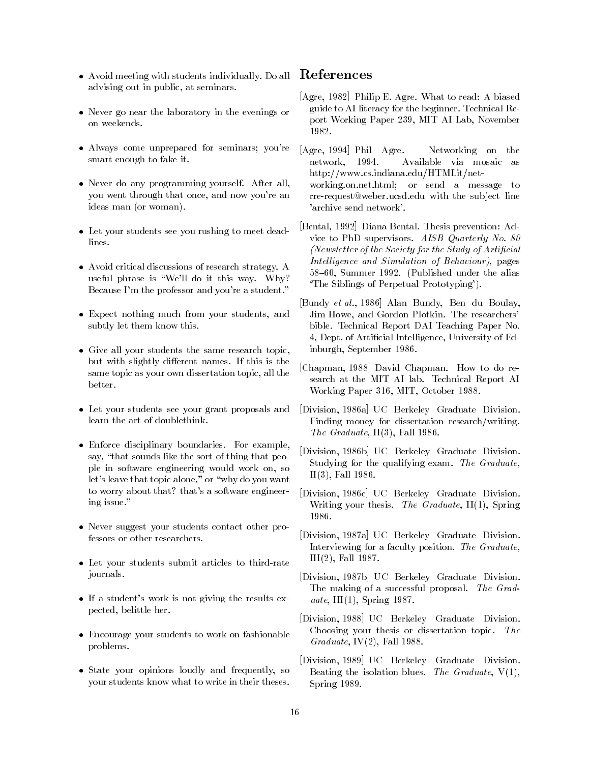- $\bullet\,$  Avoid meeting with students individually. Do all advising out in public, at seminars.
- Never go near the laboratory in the evenings or on weekends
- $\bullet$  Always come unprepared for seminars; you're  $\parallel$ smart enough to fake it
- $\bullet$  Never do any programming yourself. After all, you went through that once, and now you're an ideas man or woman
- Let your students see you rushing to meet dead-
- $\bullet$  Avoid critical discussions of research strategy. A  $\qquad$ useful phrase is "We'll do it this way. Why? Because I'm the professor and you're a student."
- $\bullet$  Expect nothing much from your students, and subtly let them know this
- $\bullet$  Give all your students the same research topic,  $\hspace{0.1mm}$ but with slightly different names. If this is the same topic as your own dissertation topic, all the better
- $\bullet$  Let your students see your grant proposals and  $\parallel$ learn the art of doublethink.
- $\bullet$  Enforce disciplinary boundaries. For example, say, "that sounds like the sort of thing that people in software engineering would work on so let's leave that topic alone," or "why do you want to worry about that? that's a software engineering issue
- Never suggest your students contact other professors or other researchers
- $\bullet$  Let your students submit articles to third-rate journals
- $\bullet$  If a student's work is not giving the results expected, belittle her.
- Encourage your students to work on fashionable problems
- State your opinions loudly and frequently so your students know what to write in their theses

### References

- [Agre, 1982] Philip E. Agre. What to read: A biased guide to AI literacy for the beginner. Technical Report Working Paper 239, MIT AI Lab, November 1982.
- [Agre 1994] Phil Agre. Networking on the network, 1994. Available via mosaic -as  $http://www.cs.indiana.edu/HTMLit/net$ working.on.net.html; or send a message to rre-requests with the subject with the subject lines. The subject lines 'archive send network'.
- [Bental, 1992] Diana Bental. Thesis prevention: Advice to PhD supervisors. AISB Quarterly No. 80  $(Newsletter of the Society for the Study of Artificial)$ Intelligence and Simulation of Behaviour), pages 58-60, Summer 1992. (Published under the alias . The Siblings of Perpetual Prototyping of Perpetual Prototypings of Perpetual Prototyping of Perpetual Prototyping
- [Bundy et al., 1986] Alan Bundy, Ben du Boulay, Jim Howe, and Gordon Plotkin. The researchers' bible. Technical Report DAI Teaching Paper No. 4. Dept. of Artificial Intelligence, University of Edinburgh, September 1986.
- [Chapman, 1988] David Chapman. How to do research at the MIT AI lab. Technical Report AI Working Paper 316, MIT, October 1988.
- [Division, 1986a] UC Berkeley Graduate Division. Finding money for dissertation research/writing. The Graduate II is the Graduate II is the Graduate II is the Graduate II is the Graduate II is the Graduate II
- [Division, 1986b] UC Berkeley Graduate Division. Studying for the qualifying exam. The Graduate, II Fall
- $D$ ivision, 1900t $\cup$  OC Deficity Graduate Division. where the Graduate II is the Graduate II in the Graduate II is the Graduate II is the Graduate II is the Graduate II is the Graduate II is the Graduate II is the Graduate II is the Graduate II is the Graduate II is the Gr 1986.
- [Division, 1987a] UC Berkeley Graduate Division. Interviewing for a faculty position. The Graduate, III Fall
- [Division, 1987b] UC Berkeley Graduate Division. The making of a successful proposal. The Graduate III di manda di sensita della contratta della contratta della contratta della contratta di un contratto d
- [Division, 1988] UC Berkeley Graduate Division. Choosing your thesis or dissertation topic. The Graduate IV and the IV and IV and IV and IV and IV and IV and IV and IV and IV and IV and IV and IV and IV and
- [Division, 1989] UC Berkeley Graduate Division. Beating the isolation blues The Graduate V  Spring 1989.